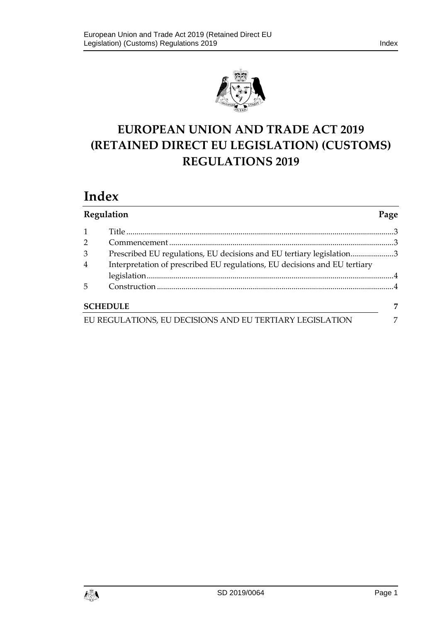

# **EUROPEAN UNION AND TRADE ACT 2019 (RETAINED DIRECT EU LEGISLATION) (CUSTOMS) REGULATIONS 2019**

## **Index**

| Regulation                                               |                                                                           | Page |
|----------------------------------------------------------|---------------------------------------------------------------------------|------|
|                                                          |                                                                           |      |
| $\overline{2}$                                           |                                                                           |      |
| 3                                                        | Prescribed EU regulations, EU decisions and EU tertiary legislation3      |      |
| $\overline{4}$                                           | Interpretation of prescribed EU regulations, EU decisions and EU tertiary |      |
|                                                          |                                                                           |      |
| 5                                                        |                                                                           |      |
| <b>SCHEDULE</b>                                          |                                                                           | 7    |
| EU REGULATIONS, EU DECISIONS AND EU TERTIARY LEGISLATION |                                                                           | 7    |

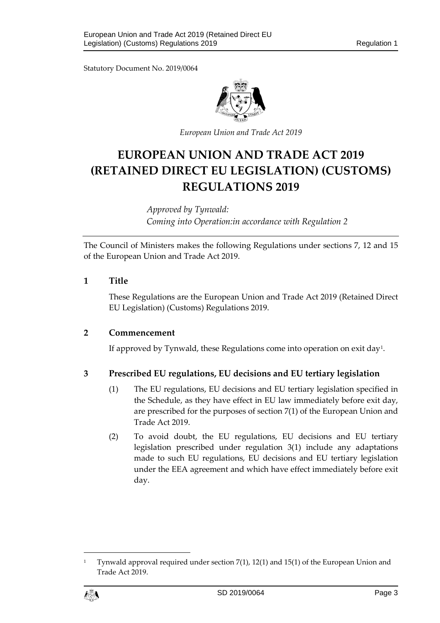Statutory Document No. 2019/0064



*European Union and Trade Act 2019*

## **EUROPEAN UNION AND TRADE ACT 2019 (RETAINED DIRECT EU LEGISLATION) (CUSTOMS) REGULATIONS 2019**

*Approved by Tynwald: Coming into Operation:in accordance with Regulation 2*

The Council of Ministers makes the following Regulations under sections 7, 12 and 15 of the European Union and Trade Act 2019.

## <span id="page-2-0"></span>**1 Title**

These Regulations are the European Union and Trade Act 2019 (Retained Direct EU Legislation) (Customs) Regulations 2019.

## <span id="page-2-1"></span>**2 Commencement**

If approved by Tynwald, these Regulations come into operation on exit day[1](#page-2-3).

## <span id="page-2-2"></span>**3 Prescribed EU regulations, EU decisions and EU tertiary legislation**

- (1) The EU regulations, EU decisions and EU tertiary legislation specified in the Schedule, as they have effect in EU law immediately before exit day, are prescribed for the purposes of section 7(1) of the European Union and Trade Act 2019.
- (2) To avoid doubt, the EU regulations, EU decisions and EU tertiary legislation prescribed under regulation 3(1) include any adaptations made to such EU regulations, EU decisions and EU tertiary legislation under the EEA agreement and which have effect immediately before exit day.

<span id="page-2-3"></span><sup>1</sup> Tynwald approval required under section 7(1), 12(1) and 15(1) of the European Union and Trade Act 2019.

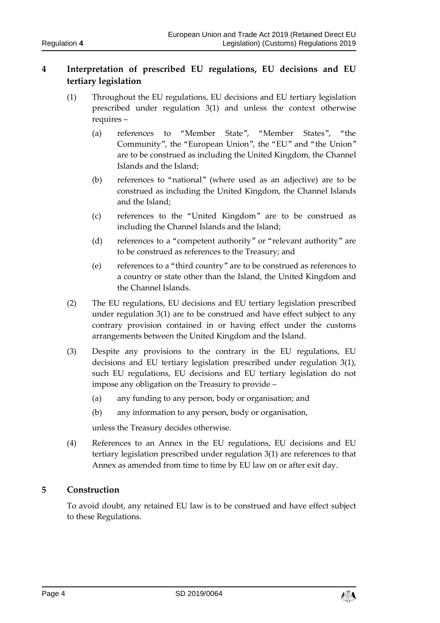## <span id="page-3-0"></span>**4 Interpretation of prescribed EU regulations, EU decisions and EU tertiary legislation**

- (1) Throughout the EU regulations, EU decisions and EU tertiary legislation prescribed under regulation 3(1) and unless the context otherwise requires –
	- (a) references to "Member State", "Member States", "the Community", the "European Union", the "EU" and "the Union" are to be construed as including the United Kingdom, the Channel Islands and the Island;
	- (b) references to "national" (where used as an adjective) are to be construed as including the United Kingdom, the Channel Islands and the Island;
	- (c) references to the "United Kingdom" are to be construed as including the Channel Islands and the Island;
	- (d) references to a "competent authority" or "relevant authority" are to be construed as references to the Treasury; and
	- (e) references to a "third country" are to be construed as references to a country or state other than the Island, the United Kingdom and the Channel Islands.
- (2) The EU regulations, EU decisions and EU tertiary legislation prescribed under regulation 3(1) are to be construed and have effect subject to any contrary provision contained in or having effect under the customs arrangements between the United Kingdom and the Island.
- (3) Despite any provisions to the contrary in the EU regulations, EU decisions and EU tertiary legislation prescribed under regulation 3(1), such EU regulations, EU decisions and EU tertiary legislation do not impose any obligation on the Treasury to provide –
	- (a) any funding to any person, body or organisation; and
	- (b) any information to any person, body or organisation,

unless the Treasury decides otherwise.

(4) References to an Annex in the EU regulations, EU decisions and EU tertiary legislation prescribed under regulation 3(1) are references to that Annex as amended from time to time by EU law on or after exit day.

## <span id="page-3-1"></span>**5 Construction**

To avoid doubt, any retained EU law is to be construed and have effect subject to these Regulations.

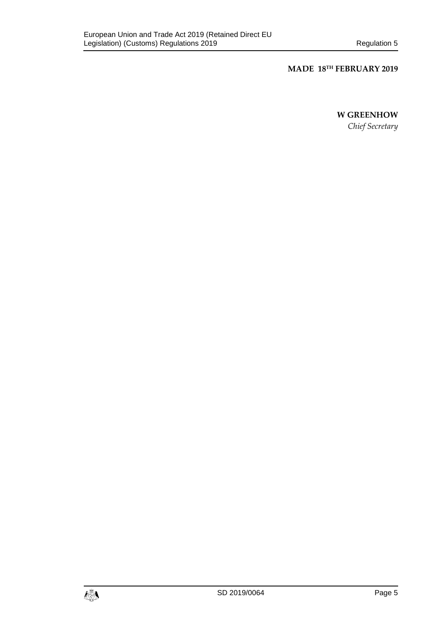## **MADE 18TH FEBRUARY 2019**

#### **W GREENHOW**

*Chief Secretary*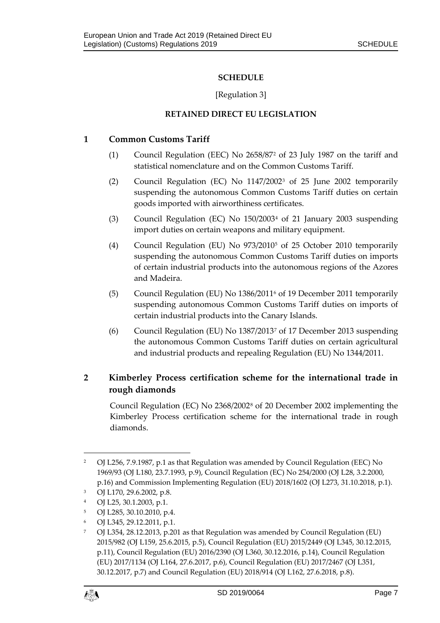## **SCHEDULE**

## [Regulation 3]

## **RETAINED DIRECT EU LEGISLATION**

## <span id="page-6-1"></span><span id="page-6-0"></span>**1 Common Customs Tariff**

- (1) Council Regulation (EEC) No 2658/87[2](#page-6-2) of 23 July 1987 on the tariff and statistical nomenclature and on the Common Customs Tariff.
- (2) Council Regulation (EC) No 1147/2002[3](#page-6-3) of 25 June 2002 temporarily suspending the autonomous Common Customs Tariff duties on certain goods imported with airworthiness certificates.
- (3) Council Regulation (EC) No 150/2003[4](#page-6-4) of 21 January 2003 suspending import duties on certain weapons and military equipment.
- (4) Council Regulation (EU) No 973/2010[5](#page-6-5) of 25 October 2010 temporarily suspending the autonomous Common Customs Tariff duties on imports of certain industrial products into the autonomous regions of the Azores and Madeira.
- (5) Council Regulation (EU) No 1386/2011[6](#page-6-6) of 19 December 2011 temporarily suspending autonomous Common Customs Tariff duties on imports of certain industrial products into the Canary Islands.
- (6) Council Regulation (EU) No 1387/2013[7](#page-6-7) of 17 December 2013 suspending the autonomous Common Customs Tariff duties on certain agricultural and industrial products and repealing Regulation (EU) No 1344/2011.

## <span id="page-6-8"></span>**2 Kimberley Process certification scheme for the international trade in rough diamonds**

Council Regulation (EC) No 2368/2002[8](#page-6-8) of 20 December 2002 implementing the Kimberley Process certification scheme for the international trade in rough diamonds.

<span id="page-6-7"></span><span id="page-6-6"></span><sup>7</sup> OJ L354, 28.12.2013, p.201 as that Regulation was amended by Council Regulation (EU) 2015/982 (OJ L159, 25.6.2015, p.5), Council Regulation (EU) 2015/2449 (OJ L345, 30.12.2015, p.11), Council Regulation (EU) 2016/2390 (OJ L360, 30.12.2016, p.14), Council Regulation (EU) 2017/1134 (OJ L164, 27.6.2017, p.6), Council Regulation (EU) 2017/2467 (OJ L351, 30.12.2017, p.7) and Council Regulation (EU) 2018/914 (OJ L162, 27.6.2018, p.8).



<span id="page-6-2"></span><sup>&</sup>lt;sup>2</sup> OJ L256, 7.9.1987, p.1 as that Regulation was amended by Council Regulation (EEC) No 1969/93 (OJ L180, 23.7.1993, p.9), Council Regulation (EC) No 254/2000 (OJ L28, 3.2.2000, p.16) and Commission Implementing Regulation (EU) 2018/1602 (OJ L273, 31.10.2018, p.1).

<span id="page-6-3"></span><sup>3</sup> OJ L170, 29.6.2002, p.8.

<span id="page-6-4"></span><sup>4</sup> OJ L25, 30.1.2003, p.1.

<span id="page-6-5"></span><sup>5</sup> OJ L285, 30.10.2010, p.4.

<sup>6</sup> OJ L345, 29.12.2011, p.1.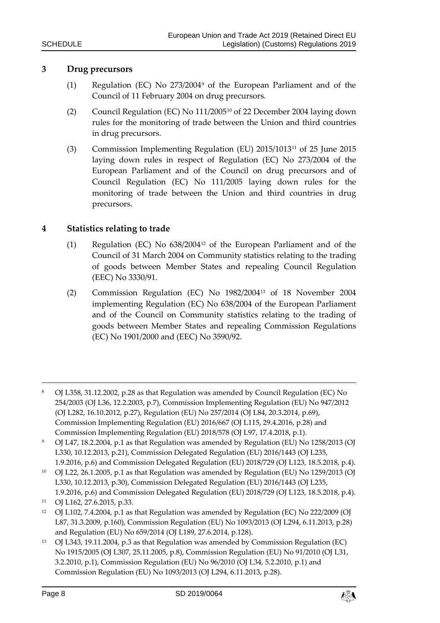## **3 Drug precursors**

- (1) Regulation (EC) No 273/2004[9](#page-7-0) of the European Parliament and of the Council of 11 February 2004 on drug precursors.
- (2) Council Regulation (EC) No 111/2005[10](#page-7-1) of 22 December 2004 laying down rules for the monitoring of trade between the Union and third countries in drug precursors.
- (3) Commission Implementing Regulation (EU) 2015/1013[11](#page-7-2) of 25 June 2015 laying down rules in respect of Regulation (EC) No 273/2004 of the European Parliament and of the Council on drug precursors and of Council Regulation (EC) No 111/2005 laying down rules for the monitoring of trade between the Union and third countries in drug precursors.

#### **4 Statistics relating to trade**

- (1) Regulation (EC) No 638/2004[12](#page-7-3) of the European Parliament and of the Council of 31 March 2004 on Community statistics relating to the trading of goods between Member States and repealing Council Regulation (EEC) No 3330/91.
- (2) Commission Regulation (EC) No 1982/2004[13](#page-7-4) of 18 November 2004 implementing Regulation (EC) No 638/2004 of the European Parliament and of the Council on Community statistics relating to the trading of goods between Member States and repealing Commission Regulations (EC) No 1901/2000 and (EEC) No 3590/92.
- <sup>8</sup> OJ L358, 31.12.2002, p.28 as that Regulation was amended by Council Regulation (EC) No 254/2003 (OJ L36, 12.2.2003, p.7), Commission Implementing Regulation (EU) No 947/2012 (OJ L282, 16.10.2012, p.27), Regulation (EU) No 257/2014 (OJ L84, 20.3.2014, p.69), Commission Implementing Regulation (EU) 2016/667 (OJ L115, 29.4.2016, p.28) and Commission Implementing Regulation (EU) 2018/578 (OJ L97, 17.4.2018, p.1).
- <span id="page-7-0"></span><sup>9</sup> OJ L47, 18.2.2004, p.1 as that Regulation was amended by Regulation (EU) No 1258/2013 (OJ L330, 10.12.2013, p.21), Commission Delegated Regulation (EU) 2016/1443 (OJ L235, 1.9.2016, p.6) and Commission Delegated Regulation (EU) 2018/729 (OJ L123, 18.5.2018, p.4).
- <span id="page-7-1"></span><sup>10</sup> OJ L22, 26.1.2005, p.1 as that Regulation was amended by Regulation (EU) No 1259/2013 (OJ L330, 10.12.2013, p.30), Commission Delegated Regulation (EU) 2016/1443 (OJ L235, 1.9.2016, p.6) and Commission Delegated Regulation (EU) 2018/729 (OJ L123, 18.5.2018, p.4).
- <span id="page-7-2"></span><sup>11</sup> OJ L162, 27.6.2015, p.33.
- <span id="page-7-3"></span><sup>12</sup> OJ L102, 7.4.2004, p.1 as that Regulation was amended by Regulation (EC) No 222/2009 (OJ L87, 31.3.2009, p.160), Commission Regulation (EU) No 1093/2013 (OJ L294, 6.11.2013, p.28) and Regulation (EU) No 659/2014 (OJ L189, 27.6.2014, p.128).
- <span id="page-7-4"></span><sup>13</sup> OJ L343, 19.11.2004, p.3 as that Regulation was amended by Commission Regulation (EC) No 1915/2005 (OJ L307, 25.11.2005, p.8), Commission Regulation (EU) No 91/2010 (OJ L31, 3.2.2010, p.1), Commission Regulation (EU) No 96/2010 (OJ L34, 5.2.2010, p.1) and Commission Regulation (EU) No 1093/2013 (OJ L294, 6.11.2013, p.28).

<u>.</u>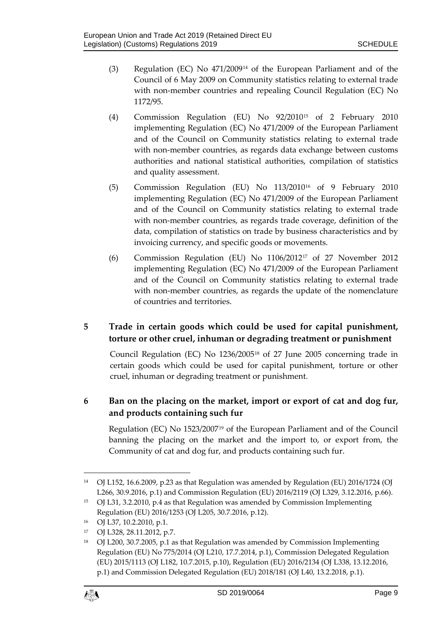- (3) Regulation (EC) No 471/2009[14](#page-8-0) of the European Parliament and of the Council of 6 May 2009 on Community statistics relating to external trade with non-member countries and repealing Council Regulation (EC) No 1172/95.
- (4) Commission Regulation (EU) No 92/2010[15](#page-8-1) of 2 February 2010 implementing Regulation (EC) No 471/2009 of the European Parliament and of the Council on Community statistics relating to external trade with non-member countries, as regards data exchange between customs authorities and national statistical authorities, compilation of statistics and quality assessment.
- (5) Commission Regulation (EU) No 113/2010[16](#page-8-2) of 9 February 2010 implementing Regulation (EC) No 471/2009 of the European Parliament and of the Council on Community statistics relating to external trade with non-member countries, as regards trade coverage, definition of the data, compilation of statistics on trade by business characteristics and by invoicing currency, and specific goods or movements.
- (6) Commission Regulation (EU) No 1106/2012[17](#page-8-3) of 27 November 2012 implementing Regulation (EC) No 471/2009 of the European Parliament and of the Council on Community statistics relating to external trade with non-member countries, as regards the update of the nomenclature of countries and territories.

## **5 Trade in certain goods which could be used for capital punishment, torture or other cruel, inhuman or degrading treatment or punishment**

Council Regulation (EC) No 1236/2005[18](#page-8-4) of 27 June 2005 concerning trade in certain goods which could be used for capital punishment, torture or other cruel, inhuman or degrading treatment or punishment.

## **6 Ban on the placing on the market, import or export of cat and dog fur, and products containing such fur**

Regulation (EC) No 1523/2007[19](#page-8-5) of the European Parliament and of the Council banning the placing on the market and the import to, or export from, the Community of cat and dog fur, and products containing such fur.

<span id="page-8-4"></span><sup>&</sup>lt;sup>18</sup> OJ L200, 30.7.2005, p.1 as that Regulation was amended by Commission Implementing Regulation (EU) No 775/2014 (OJ L210, 17.7.2014, p.1), Commission Delegated Regulation (EU) 2015/1113 (OJ L182, 10.7.2015, p.10), Regulation (EU) 2016/2134 (OJ L338, 13.12.2016, p.1) and Commission Delegated Regulation (EU) 2018/181 (OJ L40, 13.2.2018, p.1).



<span id="page-8-5"></span><span id="page-8-0"></span><sup>14</sup> OJ L152, 16.6.2009, p.23 as that Regulation was amended by Regulation (EU) 2016/1724 (OJ L266, 30.9.2016, p.1) and Commission Regulation (EU) 2016/2119 (OJ L329, 3.12.2016, p.66).

<span id="page-8-1"></span><sup>15</sup> OJ L31, 3.2.2010, p.4 as that Regulation was amended by Commission Implementing Regulation (EU) 2016/1253 (OJ L205, 30.7.2016, p.12).

<span id="page-8-2"></span><sup>16</sup> OJ L37, 10.2.2010, p.1.

<span id="page-8-3"></span><sup>17</sup> OJ L328, 28.11.2012, p.7.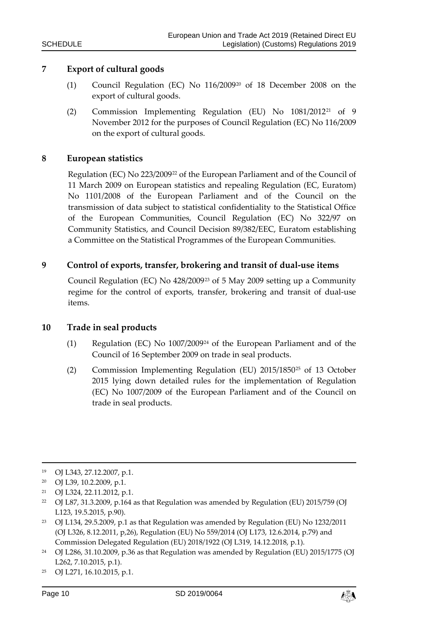#### **7 Export of cultural goods**

- (1) Council Regulation (EC) No 116/2009[20](#page-9-0) of 18 December 2008 on the export of cultural goods.
- (2) Commission Implementing Regulation (EU) No 1081/201[221](#page-9-1) of 9 November 2012 for the purposes of Council Regulation (EC) No 116/2009 on the export of cultural goods.

#### **8 European statistics**

Regulation (EC) No 223/2009[22](#page-9-2) of the European Parliament and of the Council of 11 March 2009 on European statistics and repealing Regulation (EC, Euratom) No 1101/2008 of the European Parliament and of the Council on the transmission of data subject to statistical confidentiality to the Statistical Office of the European Communities, Council Regulation (EC) No 322/97 on Community Statistics, and Council Decision 89/382/EEC, Euratom establishing a Committee on the Statistical Programmes of the European Communities.

## **9 Control of exports, transfer, brokering and transit of dual-use items**

Council Regulation (EC) No 428/2009[23](#page-9-3) of 5 May 2009 setting up a Community regime for the control of exports, transfer, brokering and transit of dual-use items.

#### **10 Trade in seal products**

- (1) Regulation (EC) No 1007/2009[24](#page-9-4) of the European Parliament and of the Council of 16 September 2009 on trade in seal products.
- (2) Commission Implementing Regulation (EU) 2015/1850[25](#page-9-5) of 13 October 2015 lying down detailed rules for the implementation of Regulation (EC) No 1007/2009 of the European Parliament and of the Council on trade in seal products.

- <span id="page-9-2"></span><sup>22</sup> OJ L87, 31.3.2009, p.164 as that Regulation was amended by Regulation (EU) 2015/759 (OJ L123, 19.5.2015, p.90).
- <span id="page-9-3"></span><sup>23</sup> OJ L134, 29.5.2009, p.1 as that Regulation was amended by Regulation (EU) No 1232/2011 (OJ L326, 8.12.2011, p,26), Regulation (EU) No 559/2014 (OJ L173, 12.6.2014, p.79) and Commission Delegated Regulation (EU) 2018/1922 (OJ L319, 14.12.2018, p.1).
- <span id="page-9-4"></span><sup>24</sup> OJ L286, 31.10.2009, p.36 as that Regulation was amended by Regulation (EU) 2015/1775 (OJ L262, 7.10.2015, p.1).

-

<sup>19</sup> OJ L343, 27.12.2007, p.1.

<span id="page-9-0"></span><sup>20</sup> OJ L39, 10.2.2009, p.1.

<span id="page-9-1"></span><sup>21</sup> OJ L324, 22.11.2012, p.1.

<span id="page-9-5"></span><sup>25</sup> OJ L271, 16.10.2015, p.1.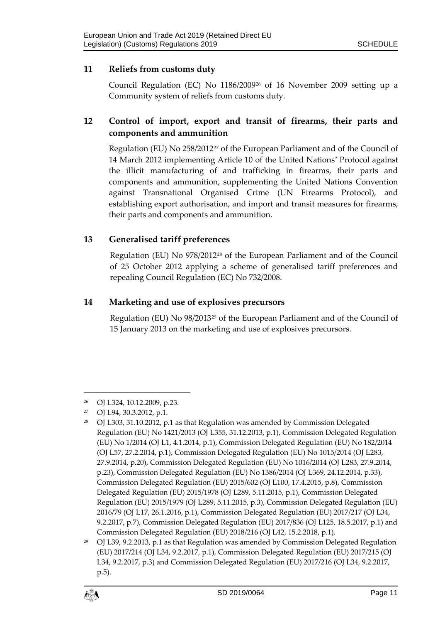## **11 Reliefs from customs duty**

Council Regulation (EC) No 1186/2009[26](#page-10-0) of 16 November 2009 setting up a Community system of reliefs from customs duty.

## **12 Control of import, export and transit of firearms, their parts and components and ammunition**

Regulation (EU) No 258/2012<sup>[27](#page-10-1)</sup> of the European Parliament and of the Council of 14 March 2012 implementing Article 10 of the United Nations' Protocol against the illicit manufacturing of and trafficking in firearms, their parts and components and ammunition, supplementing the United Nations Convention against Transnational Organised Crime (UN Firearms Protocol), and establishing export authorisation, and import and transit measures for firearms, their parts and components and ammunition.

## **13 Generalised tariff preferences**

Regulation (EU) No 978/2012[28](#page-10-2) of the European Parliament and of the Council of 25 October 2012 applying a scheme of generalised tariff preferences and repealing Council Regulation (EC) No 732/2008.

## **14 Marketing and use of explosives precursors**

Regulation (EU) No 98/2013[29](#page-10-3) of the European Parliament and of the Council of 15 January 2013 on the marketing and use of explosives precursors.

<span id="page-10-0"></span><sup>26</sup> OJ L324, 10.12.2009, p.23.

<span id="page-10-1"></span><sup>27</sup> OJ L94, 30.3.2012, p.1.

<span id="page-10-2"></span><sup>&</sup>lt;sup>28</sup> OJ L303, 31.10.2012, p.1 as that Regulation was amended by Commission Delegated Regulation (EU) No 1421/2013 (OJ L355, 31.12.2013, p.1), Commission Delegated Regulation (EU) No 1/2014 (OJ L1, 4.1.2014, p.1), Commission Delegated Regulation (EU) No 182/2014 (OJ L57, 27.2.2014, p.1), Commission Delegated Regulation (EU) No 1015/2014 (OJ L283, 27.9.2014, p.20), Commission Delegated Regulation (EU) No 1016/2014 (OJ L283, 27.9.2014, p.23), Commission Delegated Regulation (EU) No 1386/2014 (OJ L369, 24.12.2014, p.33), Commission Delegated Regulation (EU) 2015/602 (OJ L100, 17.4.2015, p.8), Commission Delegated Regulation (EU) 2015/1978 (OJ L289, 5.11.2015, p.1), Commission Delegated Regulation (EU) 2015/1979 (OJ L289, 5.11.2015, p.3), Commission Delegated Regulation (EU) 2016/79 (OJ L17, 26.1.2016, p.1), Commission Delegated Regulation (EU) 2017/217 (OJ L34, 9.2.2017, p.7), Commission Delegated Regulation (EU) 2017/836 (OJ L125, 18.5.2017, p.1) and Commission Delegated Regulation (EU) 2018/216 (OJ L42, 15.2.2018, p.1).

<span id="page-10-3"></span> $29$  OJ L39, 9.2.2013, p.1 as that Regulation was amended by Commission Delegated Regulation (EU) 2017/214 (OJ L34, 9.2.2017, p.1), Commission Delegated Regulation (EU) 2017/215 (OJ L34, 9.2.2017, p.3) and Commission Delegated Regulation (EU) 2017/216 (OJ L34, 9.2.2017, p.5).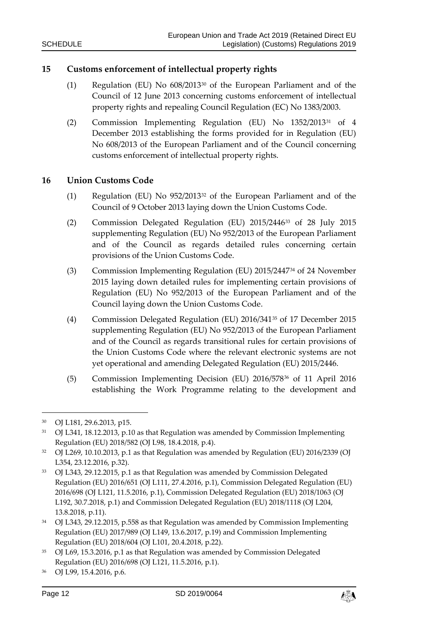#### **15 Customs enforcement of intellectual property rights**

- (1) Regulation (EU) No 608/2013[30](#page-11-0) of the European Parliament and of the Council of 12 June 2013 concerning customs enforcement of intellectual property rights and repealing Council Regulation (EC) No 1383/2003.
- (2) Commission Implementing Regulation (EU) No 1352/201[331](#page-11-1) of 4 December 2013 establishing the forms provided for in Regulation (EU) No 608/2013 of the European Parliament and of the Council concerning customs enforcement of intellectual property rights.

#### **16 Union Customs Code**

- (1) Regulation (EU) No 952/2013[32](#page-11-2) of the European Parliament and of the Council of 9 October 2013 laying down the Union Customs Code.
- (2) Commission Delegated Regulation (EU) 2015/2446[33](#page-11-3) of 28 July 2015 supplementing Regulation (EU) No 952/2013 of the European Parliament and of the Council as regards detailed rules concerning certain provisions of the Union Customs Code.
- (3) Commission Implementing Regulation (EU) 2015/2447[34](#page-11-4) of 24 November 2015 laying down detailed rules for implementing certain provisions of Regulation (EU) No 952/2013 of the European Parliament and of the Council laying down the Union Customs Code.
- (4) Commission Delegated Regulation (EU) 2016/341[35](#page-11-5) of 17 December 2015 supplementing Regulation (EU) No 952/2013 of the European Parliament and of the Council as regards transitional rules for certain provisions of the Union Customs Code where the relevant electronic systems are not yet operational and amending Delegated Regulation (EU) 2015/2446.
- (5) Commission Implementing Decision (EU) 2016/578[36](#page-11-6) of 11 April 2016 establishing the Work Programme relating to the development and

<u>.</u>



<span id="page-11-0"></span><sup>30</sup> OJ L181, 29.6.2013, p15.

<span id="page-11-1"></span><sup>&</sup>lt;sup>31</sup> OJ L341, 18.12.2013, p.10 as that Regulation was amended by Commission Implementing Regulation (EU) 2018/582 (OJ L98, 18.4.2018, p.4).

<span id="page-11-2"></span><sup>32</sup> OJ L269, 10.10.2013, p.1 as that Regulation was amended by Regulation (EU) 2016/2339 (OJ L354, 23.12.2016, p.32).

<span id="page-11-3"></span><sup>33</sup> OJ L343, 29.12.2015, p.1 as that Regulation was amended by Commission Delegated Regulation (EU) 2016/651 (OJ L111, 27.4.2016, p.1), Commission Delegated Regulation (EU) 2016/698 (OJ L121, 11.5.2016, p.1), Commission Delegated Regulation (EU) 2018/1063 (OJ L192, 30.7.2018, p.1) and Commission Delegated Regulation (EU) 2018/1118 (OJ L204, 13.8.2018, p.11).

<span id="page-11-4"></span><sup>&</sup>lt;sup>34</sup> OJ L343, 29.12.2015, p.558 as that Regulation was amended by Commission Implementing Regulation (EU) 2017/989 (OJ L149, 13.6.2017, p.19) and Commission Implementing Regulation (EU) 2018/604 (OJ L101, 20.4.2018, p.22).

<span id="page-11-5"></span><sup>35</sup> OJ L69, 15.3.2016, p.1 as that Regulation was amended by Commission Delegated Regulation (EU) 2016/698 (OJ L121, 11.5.2016, p.1).

<span id="page-11-6"></span><sup>36</sup> OJ L99, 15.4.2016, p.6.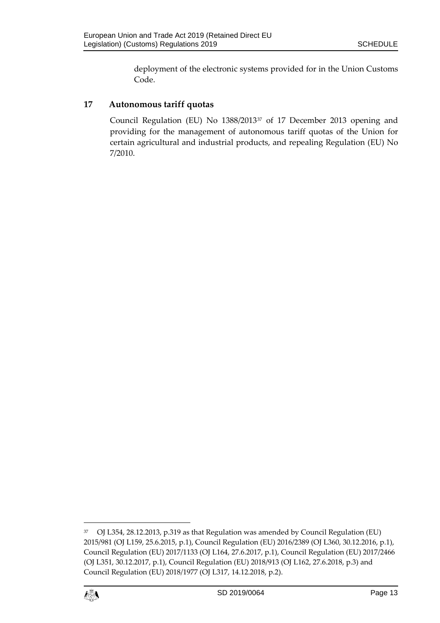deployment of the electronic systems provided for in the Union Customs Code.

## **17 Autonomous tariff quotas**

Council Regulation (EU) No 1388/2013[37](#page-12-0) of 17 December 2013 opening and providing for the management of autonomous tariff quotas of the Union for certain agricultural and industrial products, and repealing Regulation (EU) No 7/2010.

<span id="page-12-0"></span><sup>37</sup> OJ L354, 28.12.2013, p.319 as that Regulation was amended by Council Regulation (EU) 2015/981 (OJ L159, 25.6.2015, p.1), Council Regulation (EU) 2016/2389 (OJ L360, 30.12.2016, p.1), Council Regulation (EU) 2017/1133 (OJ L164, 27.6.2017, p.1), Council Regulation (EU) 2017/2466 (OJ L351, 30.12.2017, p.1), Council Regulation (EU) 2018/913 (OJ L162, 27.6.2018, p.3) and Council Regulation (EU) 2018/1977 (OJ L317, 14.12.2018, p.2).